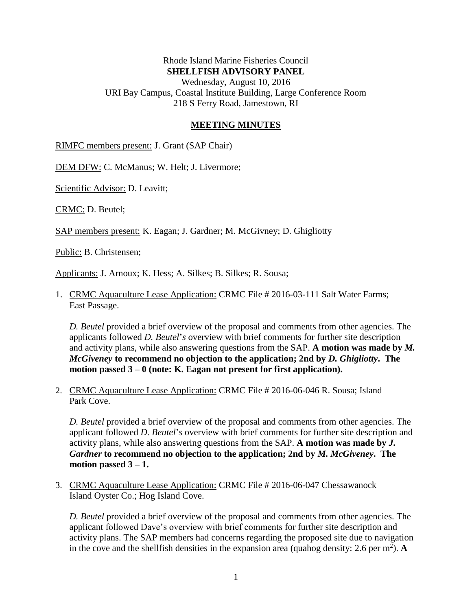## Rhode Island Marine Fisheries Council **SHELLFISH ADVISORY PANEL**

Wednesday, August 10, 2016 URI Bay Campus, Coastal Institute Building, Large Conference Room 218 S Ferry Road, Jamestown, RI

## **MEETING MINUTES**

RIMFC members present: J. Grant (SAP Chair)

DEM DFW: C. McManus; W. Helt; J. Livermore;

Scientific Advisor: D. Leavitt;

CRMC: D. Beutel;

SAP members present: K. Eagan; J. Gardner; M. McGivney; D. Ghigliotty

Public: B. Christensen;

Applicants: J. Arnoux; K. Hess; A. Silkes; B. Silkes; R. Sousa;

1. CRMC Aquaculture Lease Application: CRMC File # 2016-03-111 Salt Water Farms; East Passage.

*D. Beutel* provided a brief overview of the proposal and comments from other agencies. The applicants followed *D. Beutel*'*s* overview with brief comments for further site description and activity plans, while also answering questions from the SAP. **A motion was made by** *M. McGiveney* **to recommend no objection to the application; 2nd by** *D. Ghigliotty***. The motion passed 3 – 0 (note: K. Eagan not present for first application).**

2. CRMC Aquaculture Lease Application: CRMC File # 2016-06-046 R. Sousa; Island Park Cove.

*D. Beutel* provided a brief overview of the proposal and comments from other agencies. The applicant followed *D. Beutel*'*s* overview with brief comments for further site description and activity plans, while also answering questions from the SAP. **A motion was made by** *J. Gardner* **to recommend no objection to the application; 2nd by** *M. McGiveney***. The motion passed 3 – 1.**

3. CRMC Aquaculture Lease Application: CRMC File # 2016-06-047 Chessawanock Island Oyster Co.; Hog Island Cove.

*D. Beutel* provided a brief overview of the proposal and comments from other agencies. The applicant followed Dave's overview with brief comments for further site description and activity plans. The SAP members had concerns regarding the proposed site due to navigation in the cove and the shell fish densities in the expansion area (qualog density: 2.6 per  $m^2$ ). A